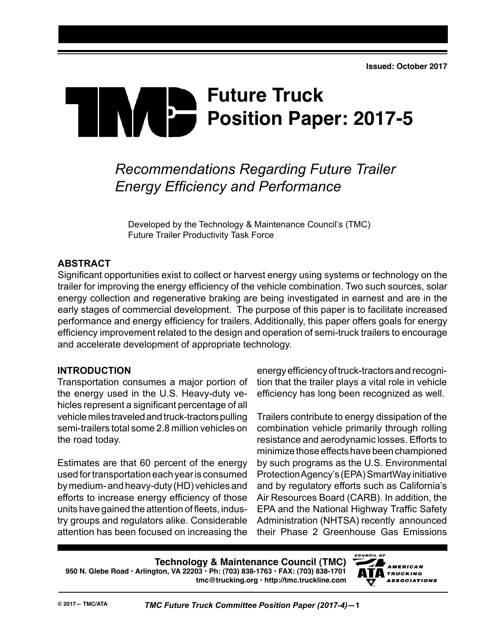# **Future Truck Position Paper: 2017-5**

# *Recommendations Regarding Future Trailer Energy Efficiency and Performance*

Developed by the Technology & Maintenance Council's (TMC) Future Trailer Productivity Task Force

# **ABSTRACT**

Significant opportunities exist to collect or harvest energy using systems or technology on the trailer for improving the energy efficiency of the vehicle combination. Two such sources, solar energy collection and regenerative braking are being investigated in earnest and are in the early stages of commercial development. The purpose of this paper is to facilitate increased performance and energy efficiency for trailers. Additionally, this paper offers goals for energy efficiency improvement related to the design and operation of semi-truck trailers to encourage and accelerate development of appropriate technology.

# **INTRODUCTION**

Transportation consumes a major portion of the energy used in the U.S. Heavy-duty vehicles represent a significant percentage of all vehicle miles traveled and truck-tractors pulling semi-trailers total some 2.8 million vehicles on the road today.

Estimates are that 60 percent of the energy used for transportation each year is consumed by medium- and heavy-duty (HD) vehicles and efforts to increase energy efficiency of those units have gained the attention of fleets, industry groups and regulators alike. Considerable attention has been focused on increasing the

energy efficiency of truck-tractors and recognition that the trailer plays a vital role in vehicle efficiency has long been recognized as well.

Trailers contribute to energy dissipation of the combination vehicle primarily through rolling resistance and aerodynamic losses. Efforts to minimize those effects have been championed by such programs as the U.S. Environmental Protection Agency's (EPA) SmartWay initiative and by regulatory efforts such as California's Air Resources Board (CARB). In addition, the EPA and the National Highway Traffic Safety Administration (NHTSA) recently announced their Phase 2 Greenhouse Gas Emissions

**Technology & Maintenance Council (TMC) 950 N. Glebe Road • Arlington, VA 22203 • Ph: (703) 838-1763 • FAX: (703) 838-1701 tmc@trucking.org • http://tmc.truckline.com**

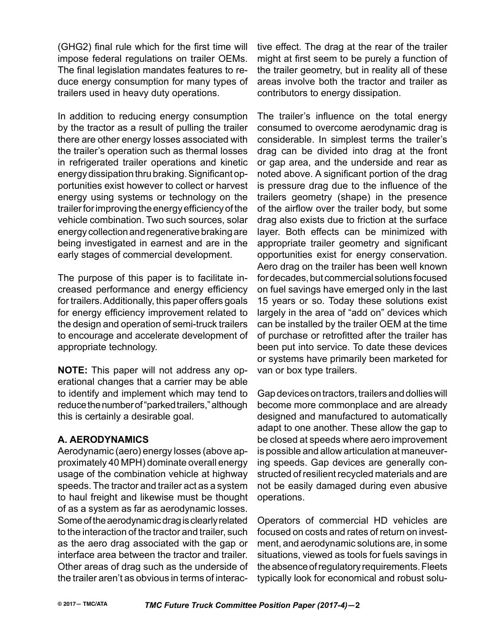(GHG2) final rule which for the first time will impose federal regulations on trailer OEMs. The final legislation mandates features to reduce energy consumption for many types of trailers used in heavy duty operations.

In addition to reducing energy consumption by the tractor as a result of pulling the trailer there are other energy losses associated with the trailer's operation such as thermal losses in refrigerated trailer operations and kinetic energy dissipation thru braking. Significant opportunities exist however to collect or harvest energy using systems or technology on the trailer for improving the energy efficiency of the vehicle combination. Two such sources, solar energy collection and regenerative braking are being investigated in earnest and are in the early stages of commercial development.

The purpose of this paper is to facilitate increased performance and energy efficiency for trailers. Additionally, this paper offers goals for energy efficiency improvement related to the design and operation of semi-truck trailers to encourage and accelerate development of appropriate technology.

**NOTE:** This paper will not address any operational changes that a carrier may be able to identify and implement which may tend to reduce the number of "parked trailers," although this is certainly a desirable goal.

# **A. Aerodynamics**

Aerodynamic (aero) energy losses (above approximately 40 MPH) dominate overall energy usage of the combination vehicle at highway speeds. The tractor and trailer act as a system to haul freight and likewise must be thought of as a system as far as aerodynamic losses. Some of the aerodynamic drag is clearly related to the interaction of the tractor and trailer, such as the aero drag associated with the gap or interface area between the tractor and trailer. Other areas of drag such as the underside of the trailer aren't as obvious in terms of interactive effect. The drag at the rear of the trailer might at first seem to be purely a function of the trailer geometry, but in reality all of these areas involve both the tractor and trailer as contributors to energy dissipation.

The trailer's influence on the total energy consumed to overcome aerodynamic drag is considerable. In simplest terms the trailer's drag can be divided into drag at the front or gap area, and the underside and rear as noted above. A significant portion of the drag is pressure drag due to the influence of the trailers geometry (shape) in the presence of the airflow over the trailer body, but some drag also exists due to friction at the surface layer. Both effects can be minimized with appropriate trailer geometry and significant opportunities exist for energy conservation. Aero drag on the trailer has been well known for decades, but commercial solutions focused on fuel savings have emerged only in the last 15 years or so. Today these solutions exist largely in the area of "add on" devices which can be installed by the trailer OEM at the time of purchase or retrofitted after the trailer has been put into service. To date these devices or systems have primarily been marketed for van or box type trailers.

Gap devices on tractors, trailers and dollies will become more commonplace and are already designed and manufactured to automatically adapt to one another. These allow the gap to be closed at speeds where aero improvement is possible and allow articulation at maneuvering speeds. Gap devices are generally constructed of resilient recycled materials and are not be easily damaged during even abusive operations.

Operators of commercial HD vehicles are focused on costs and rates of return on investment, and aerodynamic solutions are, in some situations, viewed as tools for fuels savings in the absence of regulatory requirements. Fleets typically look for economical and robust solu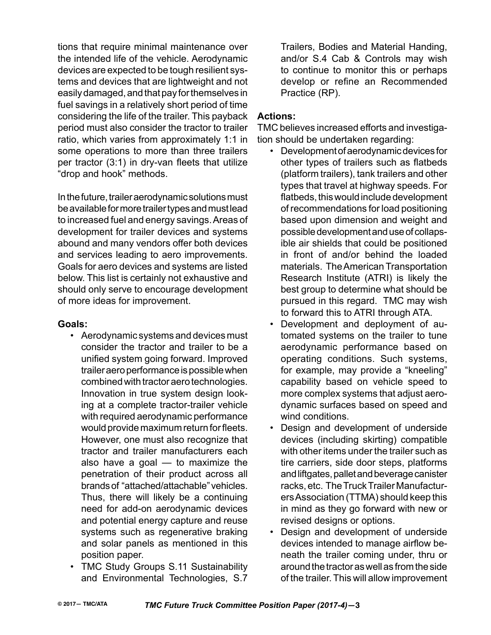tions that require minimal maintenance over the intended life of the vehicle. Aerodynamic devices are expected to be tough resilient systems and devices that are lightweight and not easily damaged, and that pay for themselves in fuel savings in a relatively short period of time considering the life of the trailer. This payback period must also consider the tractor to trailer ratio, which varies from approximately 1:1 in some operations to more than three trailers per tractor (3:1) in dry-van fleets that utilize "drop and hook" methods.

In the future, trailer aerodynamic solutions must be available for more trailer types and must lead to increased fuel and energy savings. Areas of development for trailer devices and systems abound and many vendors offer both devices and services leading to aero improvements. Goals for aero devices and systems are listed below. This list is certainly not exhaustive and should only serve to encourage development of more ideas for improvement.

#### **Goals:**

- Aerodynamic systems and devices must consider the tractor and trailer to be a unified system going forward. Improved trailer aero performance is possible when combined with tractor aero technologies. Innovation in true system design looking at a complete tractor-trailer vehicle with required aerodynamic performance would provide maximum return for fleets. However, one must also recognize that tractor and trailer manufacturers each also have a goal  $-$  to maximize the penetration of their product across all brands of "attached/attachable" vehicles. Thus, there will likely be a continuing need for add-on aerodynamic devices and potential energy capture and reuse systems such as regenerative braking and solar panels as mentioned in this position paper.
- TMC Study Groups S.11 Sustainability and Environmental Technologies, S.7

Trailers, Bodies and Material Handing, and/or S.4 Cab & Controls may wish to continue to monitor this or perhaps develop or refine an Recommended Practice (RP).

# **Actions:**

TMC believes increased efforts and investigation should be undertaken regarding:

- Development of aerodynamic devices for other types of trailers such as flatbeds (platform trailers), tank trailers and other types that travel at highway speeds. For flatbeds, this would include development of recommendations for load positioning based upon dimension and weight and possible development and use of collapsible air shields that could be positioned in front of and/or behind the loaded materials. The American Transportation Research Institute (ATRI) is likely the best group to determine what should be pursued in this regard. TMC may wish to forward this to ATRI through ATA.
- Development and deployment of automated systems on the trailer to tune aerodynamic performance based on operating conditions. Such systems, for example, may provide a "kneeling" capability based on vehicle speed to more complex systems that adjust aerodynamic surfaces based on speed and wind conditions.
- Design and development of underside devices (including skirting) compatible with other items under the trailer such as tire carriers, side door steps, platforms and liftgates, pallet and beverage canister racks, etc. The Truck Trailer Manufacturers Association (TTMA) should keep this in mind as they go forward with new or revised designs or options.
- Design and development of underside devices intended to manage airflow beneath the trailer coming under, thru or around the tractor as well as from the side of the trailer. This will allow improvement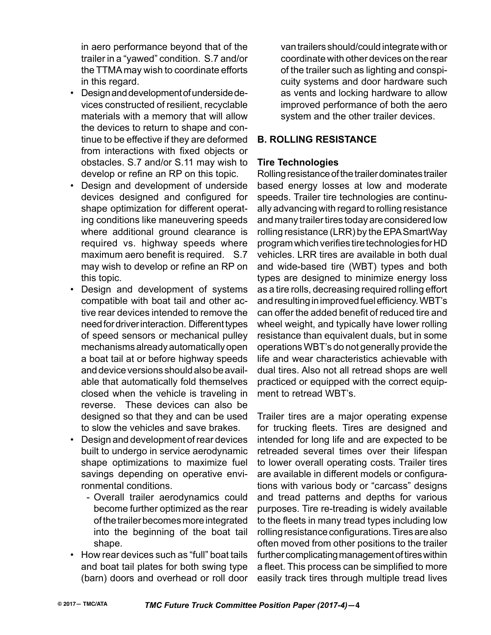in aero performance beyond that of the trailer in a "yawed" condition. S.7 and/or the TTMA may wish to coordinate efforts in this regard.

- Design and development of underside devices constructed of resilient, recyclable materials with a memory that will allow the devices to return to shape and continue to be effective if they are deformed from interactions with fixed objects or obstacles. S.7 and/or S.11 may wish to develop or refine an RP on this topic.
- Design and development of underside devices designed and configured for shape optimization for different operating conditions like maneuvering speeds where additional ground clearance is required vs. highway speeds where maximum aero benefit is required. S.7 may wish to develop or refine an RP on this topic.
- Design and development of systems compatible with boat tail and other active rear devices intended to remove the need for driver interaction. Different types of speed sensors or mechanical pulley mechanisms already automatically open a boat tail at or before highway speeds and device versions should also be available that automatically fold themselves closed when the vehicle is traveling in reverse. These devices can also be designed so that they and can be used to slow the vehicles and save brakes.
- Design and development of rear devices built to undergo in service aerodynamic shape optimizations to maximize fuel savings depending on operative environmental conditions.
	- Overall trailer aerodynamics could become further optimized as the rear of the trailer becomes more integrated into the beginning of the boat tail shape.
- How rear devices such as "full" boat tails and boat tail plates for both swing type (barn) doors and overhead or roll door

van trailers should/could integrate with or coordinate with other devices on the rear of the trailer such as lighting and conspicuity systems and door hardware such as vents and locking hardware to allow improved performance of both the aero system and the other trailer devices.

#### **B. Rolling Resistance**

#### **Tire Technologies**

Rolling resistance of the trailer dominates trailer based energy losses at low and moderate speeds. Trailer tire technologies are continually advancing with regard to rolling resistance and many trailer tires today are considered low rolling resistance (LRR) by the EPA SmartWay program which verifies tire technologies for HD vehicles. LRR tires are available in both dual and wide-based tire (WBT) types and both types are designed to minimize energy loss as a tire rolls, decreasing required rolling effort and resulting in improved fuel efficiency. WBT's can offer the added benefit of reduced tire and wheel weight, and typically have lower rolling resistance than equivalent duals, but in some operations WBT's do not generally provide the life and wear characteristics achievable with dual tires. Also not all retread shops are well practiced or equipped with the correct equipment to retread WBT's.

Trailer tires are a major operating expense for trucking fleets. Tires are designed and intended for long life and are expected to be retreaded several times over their lifespan to lower overall operating costs. Trailer tires are available in different models or configurations with various body or "carcass" designs and tread patterns and depths for various purposes. Tire re-treading is widely available to the fleets in many tread types including low rolling resistance configurations. Tires are also often moved from other positions to the trailer further complicating management of tires within a fleet. This process can be simplified to more easily track tires through multiple tread lives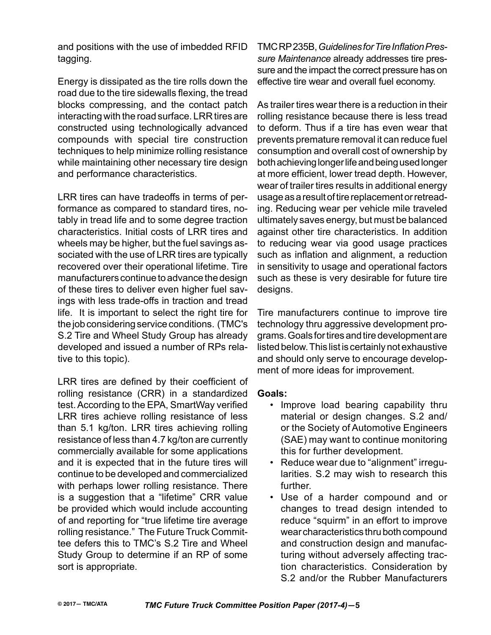and positions with the use of imbedded RFID tagging.

Energy is dissipated as the tire rolls down the road due to the tire sidewalls flexing, the tread blocks compressing, and the contact patch interacting with the road surface. LRR tires are constructed using technologically advanced compounds with special tire construction techniques to help minimize rolling resistance while maintaining other necessary tire design and performance characteristics.

LRR tires can have tradeoffs in terms of performance as compared to standard tires, notably in tread life and to some degree traction characteristics. Initial costs of LRR tires and wheels may be higher, but the fuel savings associated with the use of LRR tires are typically recovered over their operational lifetime. Tire manufacturers continue to advance the design of these tires to deliver even higher fuel savings with less trade-offs in traction and tread life. It is important to select the right tire for the job considering service conditions. (TMC's S.2 Tire and Wheel Study Group has already developed and issued a number of RPs relative to this topic).

LRR tires are defined by their coefficient of rolling resistance (CRR) in a standardized test. According to the EPA, SmartWay verified LRR tires achieve rolling resistance of less than 5.1 kg/ton. LRR tires achieving rolling resistance of less than 4.7 kg/ton are currently commercially available for some applications and it is expected that in the future tires will continue to be developed and commercialized with perhaps lower rolling resistance. There is a suggestion that a "lifetime" CRR value be provided which would include accounting of and reporting for "true lifetime tire average rolling resistance." The Future Truck Committee defers this to TMC's S.2 Tire and Wheel Study Group to determine if an RP of some sort is appropriate.

TMC RP 235B, *Guidelines for Tire Inflation Pressure Maintenance* already addresses tire pressure and the impact the correct pressure has on effective tire wear and overall fuel economy.

As trailer tires wear there is a reduction in their rolling resistance because there is less tread to deform. Thus if a tire has even wear that prevents premature removal it can reduce fuel consumption and overall cost of ownership by both achieving longer life and being used longer at more efficient, lower tread depth. However, wear of trailer tires results in additional energy usage as a result of tire replacement or retreading. Reducing wear per vehicle mile traveled ultimately saves energy, but must be balanced against other tire characteristics. In addition to reducing wear via good usage practices such as inflation and alignment, a reduction in sensitivity to usage and operational factors such as these is very desirable for future tire designs.

Tire manufacturers continue to improve tire technology thru aggressive development programs. Goals for tires and tire development are listed below. This list is certainly not exhaustive and should only serve to encourage development of more ideas for improvement.

# **Goals:**

- Improve load bearing capability thru material or design changes. S.2 and/ or the Society of Automotive Engineers (SAE) may want to continue monitoring this for further development.
- Reduce wear due to "alignment" irregularities. S.2 may wish to research this further.
- Use of a harder compound and or changes to tread design intended to reduce "squirm" in an effort to improve wear characteristics thru both compound and construction design and manufacturing without adversely affecting traction characteristics. Consideration by S.2 and/or the Rubber Manufacturers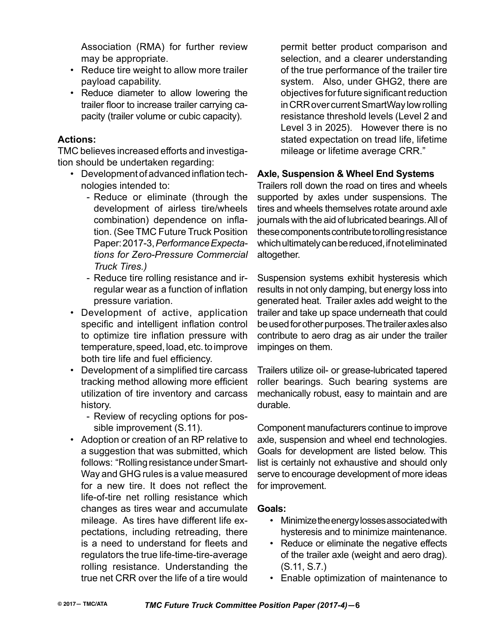Association (RMA) for further review may be appropriate.

- Reduce tire weight to allow more trailer payload capability.
- Reduce diameter to allow lowering the trailer floor to increase trailer carrying capacity (trailer volume or cubic capacity).

#### **Actions:**

TMC believes increased efforts and investigation should be undertaken regarding:

- Development of advanced inflation technologies intended to:
	- Reduce or eliminate (through the development of airless tire/wheels combination) dependence on inflation. (See TMC Future Truck Position Paper: 2017-3, *Performance Expectations for Zero-Pressure Commercial Truck Tires.)*
	- Reduce tire rolling resistance and irregular wear as a function of inflation pressure variation.
- Development of active, application specific and intelligent inflation control to optimize tire inflation pressure with temperature, speed, load, etc. to improve both tire life and fuel efficiency.
- Development of a simplified tire carcass tracking method allowing more efficient utilization of tire inventory and carcass history.
	- Review of recycling options for possible improvement (S.11).
- Adoption or creation of an RP relative to a suggestion that was submitted, which follows: "Rolling resistance under Smart-Way and GHG rules is a value measured for a new tire. It does not reflect the life-of-tire net rolling resistance which changes as tires wear and accumulate mileage. As tires have different life expectations, including retreading, there is a need to understand for fleets and regulators the true life-time-tire-average rolling resistance. Understanding the true net CRR over the life of a tire would

permit better product comparison and selection, and a clearer understanding of the true performance of the trailer tire system. Also, under GHG2, there are objectives for future significant reduction in CRR over current SmartWay low rolling resistance threshold levels (Level 2 and Level 3 in 2025). However there is no stated expectation on tread life, lifetime mileage or lifetime average CRR."

# **Axle, Suspension & Wheel End Systems**

Trailers roll down the road on tires and wheels supported by axles under suspensions. The tires and wheels themselves rotate around axle journals with the aid of lubricated bearings. All of these components contribute to rolling resistance which ultimately can be reduced, if not eliminated altogether.

Suspension systems exhibit hysteresis which results in not only damping, but energy loss into generated heat. Trailer axles add weight to the trailer and take up space underneath that could be used for other purposes. The trailer axles also contribute to aero drag as air under the trailer impinges on them.

Trailers utilize oil- or grease-lubricated tapered roller bearings. Such bearing systems are mechanically robust, easy to maintain and are durable.

Component manufacturers continue to improve axle, suspension and wheel end technologies. Goals for development are listed below. This list is certainly not exhaustive and should only serve to encourage development of more ideas for improvement.

#### **Goals:**

- Minimize the energy losses associated with hysteresis and to minimize maintenance.
- Reduce or eliminate the negative effects of the trailer axle (weight and aero drag). (S.11, S.7.)
- Enable optimization of maintenance to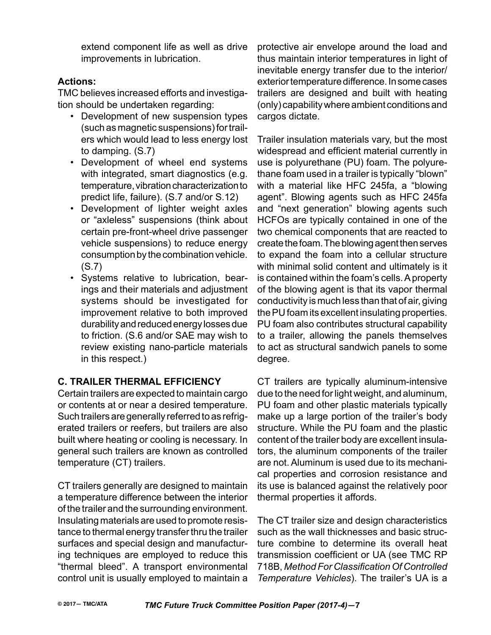extend component life as well as drive improvements in lubrication.

# **Actions:**

TMC believes increased efforts and investigation should be undertaken regarding:

- Development of new suspension types (such as magnetic suspensions) for trailers which would lead to less energy lost to damping. (S.7)
- Development of wheel end systems with integrated, smart diagnostics (e.g. temperature, vibration characterization to predict life, failure). (S.7 and/or S.12)
- Development of lighter weight axles or "axleless" suspensions (think about certain pre-front-wheel drive passenger vehicle suspensions) to reduce energy consumption by the combination vehicle. (S.7)
- Systems relative to lubrication, bearings and their materials and adjustment systems should be investigated for improvement relative to both improved durability and reduced energy losses due to friction. (S.6 and/or SAE may wish to review existing nano-particle materials in this respect.)

# **C. Trailer Thermal Efficiency**

Certain trailers are expected to maintain cargo or contents at or near a desired temperature. Such trailers are generally referred to as refrigerated trailers or reefers, but trailers are also built where heating or cooling is necessary. In general such trailers are known as controlled temperature (CT) trailers.

CT trailers generally are designed to maintain a temperature difference between the interior of the trailer and the surrounding environment. Insulating materials are used to promote resistance to thermal energy transfer thru the trailer surfaces and special design and manufacturing techniques are employed to reduce this "thermal bleed". A transport environmental control unit is usually employed to maintain a

protective air envelope around the load and thus maintain interior temperatures in light of inevitable energy transfer due to the interior/ exterior temperature difference. In some cases trailers are designed and built with heating (only) capability where ambient conditions and cargos dictate.

Trailer insulation materials vary, but the most widespread and efficient material currently in use is polyurethane (PU) foam. The polyurethane foam used in a trailer is typically "blown" with a material like HFC 245fa, a "blowing agent". Blowing agents such as HFC 245fa and "next generation" blowing agents such HCFOs are typically contained in one of the two chemical components that are reacted to create the foam. The blowing agent then serves to expand the foam into a cellular structure with minimal solid content and ultimately is it is contained within the foam's cells. A property of the blowing agent is that its vapor thermal conductivity is much less than that of air, giving the PU foam its excellent insulating properties. PU foam also contributes structural capability to a trailer, allowing the panels themselves to act as structural sandwich panels to some degree.

CT trailers are typically aluminum-intensive due to the need for light weight, and aluminum, PU foam and other plastic materials typically make up a large portion of the trailer's body structure. While the PU foam and the plastic content of the trailer body are excellent insulators, the aluminum components of the trailer are not. Aluminum is used due to its mechanical properties and corrosion resistance and its use is balanced against the relatively poor thermal properties it affords.

The CT trailer size and design characteristics such as the wall thicknesses and basic structure combine to determine its overall heat transmission coefficient or UA (see TMC RP 718B, *Method For Classification Of Controlled Temperature Vehicles*). The trailer's UA is a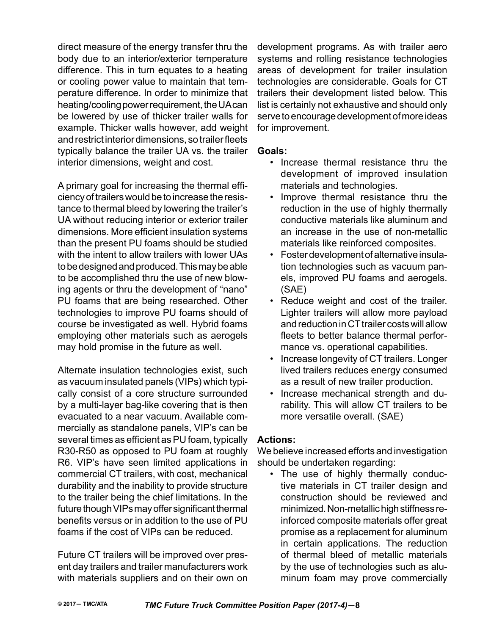direct measure of the energy transfer thru the body due to an interior/exterior temperature difference. This in turn equates to a heating or cooling power value to maintain that temperature difference. In order to minimize that heating/cooling power requirement, the UA can be lowered by use of thicker trailer walls for example. Thicker walls however, add weight and restrict interior dimensions, so trailer fleets typically balance the trailer UA vs. the trailer interior dimensions, weight and cost.

A primary goal for increasing the thermal efficiency of trailers would be to increase the resistance to thermal bleed by lowering the trailer's UA without reducing interior or exterior trailer dimensions. More efficient insulation systems than the present PU foams should be studied with the intent to allow trailers with lower UAs to be designed and produced. This may be able to be accomplished thru the use of new blowing agents or thru the development of "nano" PU foams that are being researched. Other technologies to improve PU foams should of course be investigated as well. Hybrid foams employing other materials such as aerogels may hold promise in the future as well.

Alternate insulation technologies exist, such as vacuum insulated panels (VIPs) which typically consist of a core structure surrounded by a multi-layer bag-like covering that is then evacuated to a near vacuum. Available commercially as standalone panels, VIP's can be several times as efficient as PU foam, typically R30-R50 as opposed to PU foam at roughly R6. VIP's have seen limited applications in commercial CT trailers, with cost, mechanical durability and the inability to provide structure to the trailer being the chief limitations. In the future though VIPs may offer significant thermal benefits versus or in addition to the use of PU foams if the cost of VIPs can be reduced.

Future CT trailers will be improved over present day trailers and trailer manufacturers work with materials suppliers and on their own on

development programs. As with trailer aero systems and rolling resistance technologies areas of development for trailer insulation technologies are considerable. Goals for CT trailers their development listed below. This list is certainly not exhaustive and should only serve to encourage development of more ideas for improvement.

#### **Goals:**

- Increase thermal resistance thru the development of improved insulation materials and technologies.
- Improve thermal resistance thru the reduction in the use of highly thermally conductive materials like aluminum and an increase in the use of non-metallic materials like reinforced composites.
- Foster development of alternative insulation technologies such as vacuum panels, improved PU foams and aerogels. (SAE)
- Reduce weight and cost of the trailer. Lighter trailers will allow more payload and reduction in CT trailer costs will allow fleets to better balance thermal performance vs. operational capabilities.
- Increase longevity of CT trailers. Longer lived trailers reduces energy consumed as a result of new trailer production.
- Increase mechanical strength and durability. This will allow CT trailers to be more versatile overall. (SAE)

# **Actions:**

We believe increased efforts and investigation should be undertaken regarding:

• The use of highly thermally conductive materials in CT trailer design and construction should be reviewed and minimized. Non-metallic high stiffness reinforced composite materials offer great promise as a replacement for aluminum in certain applications. The reduction of thermal bleed of metallic materials by the use of technologies such as aluminum foam may prove commercially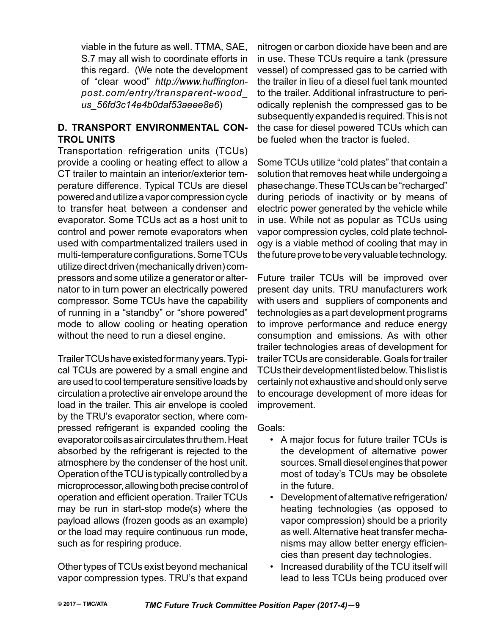viable in the future as well. TTMA, SAE, S.7 may all wish to coordinate efforts in this regard. (We note the development of "clear wood" *http://www.huffingtonpost.com/entry/transparent-wood\_ us\_56fd3c14e4b0daf53aeee8e6*)

# **D. Transport Environmental Control Units**

Transportation refrigeration units (TCUs) provide a cooling or heating effect to allow a CT trailer to maintain an interior/exterior temperature difference. Typical TCUs are diesel powered and utilize a vapor compression cycle to transfer heat between a condenser and evaporator. Some TCUs act as a host unit to control and power remote evaporators when used with compartmentalized trailers used in multi-temperature configurations. Some TCUs utilize direct driven (mechanically driven) compressors and some utilize a generator or alternator to in turn power an electrically powered compressor. Some TCUs have the capability of running in a "standby" or "shore powered" mode to allow cooling or heating operation without the need to run a diesel engine.

Trailer TCUs have existed for many years. Typical TCUs are powered by a small engine and are used to cool temperature sensitive loads by circulation a protective air envelope around the load in the trailer. This air envelope is cooled by the TRU's evaporator section, where compressed refrigerant is expanded cooling the evaporator coils as air circulates thru them. Heat absorbed by the refrigerant is rejected to the atmosphere by the condenser of the host unit. Operation of the TCU is typically controlled by a microprocessor, allowing both precise control of operation and efficient operation. Trailer TCUs may be run in start-stop mode(s) where the payload allows (frozen goods as an example) or the load may require continuous run mode, such as for respiring produce.

Other types of TCUs exist beyond mechanical vapor compression types. TRU's that expand nitrogen or carbon dioxide have been and are in use. These TCUs require a tank (pressure vessel) of compressed gas to be carried with the trailer in lieu of a diesel fuel tank mounted to the trailer. Additional infrastructure to periodically replenish the compressed gas to be subsequently expanded is required. This is not the case for diesel powered TCUs which can be fueled when the tractor is fueled.

Some TCUs utilize "cold plates" that contain a solution that removes heat while undergoing a phase change. These TCUs can be "recharged" during periods of inactivity or by means of electric power generated by the vehicle while in use. While not as popular as TCUs using vapor compression cycles, cold plate technology is a viable method of cooling that may in the future prove to be very valuable technology.

Future trailer TCUs will be improved over present day units. TRU manufacturers work with users and suppliers of components and technologies as a part development programs to improve performance and reduce energy consumption and emissions. As with other trailer technologies areas of development for trailer TCUs are considerable. Goals for trailer TCUs their development listed below. This list is certainly not exhaustive and should only serve to encourage development of more ideas for improvement.

Goals:

- A major focus for future trailer TCUs is the development of alternative power sources. Small diesel engines that power most of today's TCUs may be obsolete in the future.
- Development of alternative refrigeration/ heating technologies (as opposed to vapor compression) should be a priority as well. Alternative heat transfer mechanisms may allow better energy efficiencies than present day technologies.
- Increased durability of the TCU itself will lead to less TCUs being produced over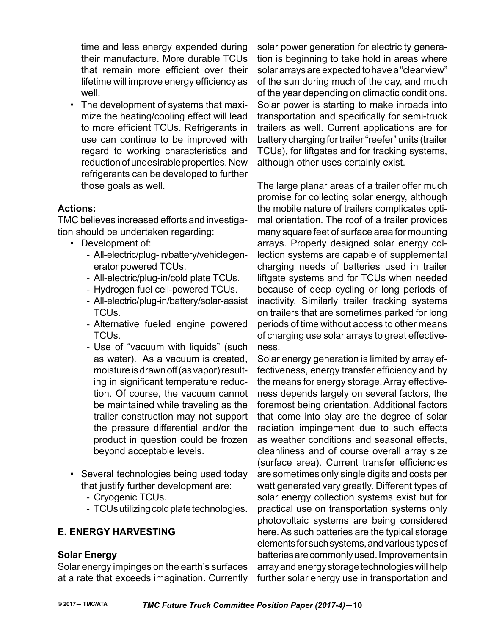time and less energy expended during their manufacture. More durable TCUs that remain more efficient over their lifetime will improve energy efficiency as well.

• The development of systems that maximize the heating/cooling effect will lead to more efficient TCUs. Refrigerants in use can continue to be improved with regard to working characteristics and reduction of undesirable properties. New refrigerants can be developed to further those goals as well.

# **Actions:**

TMC believes increased efforts and investigation should be undertaken regarding:

- Development of:
	- All-electric/plug-in/battery/vehicle generator powered TCUs.
	- All-electric/plug-in/cold plate TCUs.
	- Hydrogen fuel cell-powered TCUs.
	- All-electric/plug-in/battery/solar-assist TCUs.
	- Alternative fueled engine powered TCUs.
	- Use of "vacuum with liquids" (such as water). As a vacuum is created, moisture is drawn off (as vapor) resulting in significant temperature reduction. Of course, the vacuum cannot be maintained while traveling as the trailer construction may not support the pressure differential and/or the product in question could be frozen beyond acceptable levels.
- Several technologies being used today that justify further development are:
	- Cryogenic TCUs.
	- TCUs utilizing cold plate technologies.

# **E. Energy Harvesting**

# **Solar Energy**

Solar energy impinges on the earth's surfaces at a rate that exceeds imagination. Currently solar power generation for electricity generation is beginning to take hold in areas where solar arrays are expected to have a "clear view" of the sun during much of the day, and much of the year depending on climactic conditions. Solar power is starting to make inroads into transportation and specifically for semi-truck trailers as well. Current applications are for battery charging for trailer "reefer" units (trailer TCUs), for liftgates and for tracking systems, although other uses certainly exist.

The large planar areas of a trailer offer much promise for collecting solar energy, although the mobile nature of trailers complicates optimal orientation. The roof of a trailer provides many square feet of surface area for mounting arrays. Properly designed solar energy collection systems are capable of supplemental charging needs of batteries used in trailer liftgate systems and for TCUs when needed because of deep cycling or long periods of inactivity. Similarly trailer tracking systems on trailers that are sometimes parked for long periods of time without access to other means of charging use solar arrays to great effectiveness.

Solar energy generation is limited by array effectiveness, energy transfer efficiency and by the means for energy storage. Array effectiveness depends largely on several factors, the foremost being orientation. Additional factors that come into play are the degree of solar radiation impingement due to such effects as weather conditions and seasonal effects, cleanliness and of course overall array size (surface area). Current transfer efficiencies are sometimes only single digits and costs per watt generated vary greatly. Different types of solar energy collection systems exist but for practical use on transportation systems only photovoltaic systems are being considered here. As such batteries are the typical storage elements for such systems, and various types of batteries are commonly used. Improvements in array and energy storage technologies will help further solar energy use in transportation and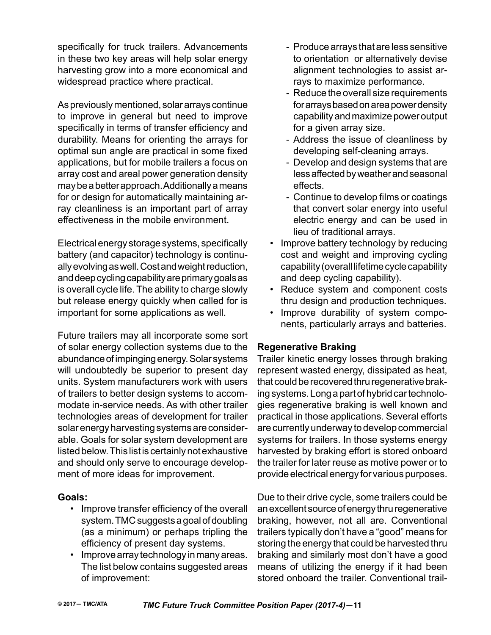specifically for truck trailers. Advancements in these two key areas will help solar energy harvesting grow into a more economical and widespread practice where practical.

As previously mentioned, solar arrays continue to improve in general but need to improve specifically in terms of transfer efficiency and durability. Means for orienting the arrays for optimal sun angle are practical in some fixed applications, but for mobile trailers a focus on array cost and areal power generation density may be a better approach. Additionally a means for or design for automatically maintaining array cleanliness is an important part of array effectiveness in the mobile environment.

Electrical energy storage systems, specifically battery (and capacitor) technology is continually evolving as well. Cost and weight reduction, and deep cycling capability are primary goals as is overall cycle life. The ability to charge slowly but release energy quickly when called for is important for some applications as well.

Future trailers may all incorporate some sort of solar energy collection systems due to the abundance of impinging energy. Solar systems will undoubtedly be superior to present day units. System manufacturers work with users of trailers to better design systems to accommodate in-service needs. As with other trailer technologies areas of development for trailer solar energy harvesting systems are considerable. Goals for solar system development are listed below. This list is certainly not exhaustive and should only serve to encourage development of more ideas for improvement.

#### **Goals:**

- Improve transfer efficiency of the overall system. TMC suggests a goal of doubling (as a minimum) or perhaps tripling the efficiency of present day systems.
- Improve array technology in many areas. The list below contains suggested areas of improvement:
- Produce arrays that are less sensitive to orientation or alternatively devise alignment technologies to assist arrays to maximize performance.
- Reduce the overall size requirements for arrays based on area power density capability and maximize power output for a given array size.
- Address the issue of cleanliness by developing self-cleaning arrays.
- Develop and design systems that are less affected by weather and seasonal effects.
- Continue to develop films or coatings that convert solar energy into useful electric energy and can be used in lieu of traditional arrays.
- Improve battery technology by reducing cost and weight and improving cycling capability (overall lifetime cycle capability and deep cycling capability).
- Reduce system and component costs thru design and production techniques.
- Improve durability of system components, particularly arrays and batteries.

# **Regenerative Braking**

Trailer kinetic energy losses through braking represent wasted energy, dissipated as heat, that could be recovered thru regenerative braking systems. Long a part of hybrid car technologies regenerative braking is well known and practical in those applications. Several efforts are currently underway to develop commercial systems for trailers. In those systems energy harvested by braking effort is stored onboard the trailer for later reuse as motive power or to provide electrical energy for various purposes.

Due to their drive cycle, some trailers could be an excellent source of energy thru regenerative braking, however, not all are. Conventional trailers typically don't have a "good" means for storing the energy that could be harvested thru braking and similarly most don't have a good means of utilizing the energy if it had been stored onboard the trailer. Conventional trail-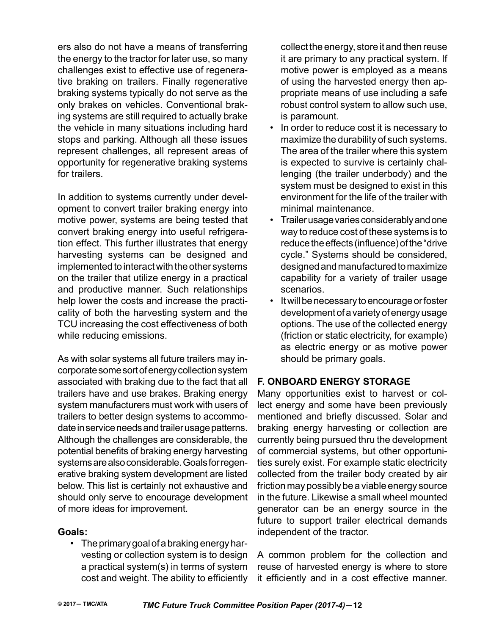ers also do not have a means of transferring the energy to the tractor for later use, so many challenges exist to effective use of regenerative braking on trailers. Finally regenerative braking systems typically do not serve as the only brakes on vehicles. Conventional braking systems are still required to actually brake the vehicle in many situations including hard stops and parking. Although all these issues represent challenges, all represent areas of opportunity for regenerative braking systems for trailers.

In addition to systems currently under development to convert trailer braking energy into motive power, systems are being tested that convert braking energy into useful refrigeration effect. This further illustrates that energy harvesting systems can be designed and implemented to interact with the other systems on the trailer that utilize energy in a practical and productive manner. Such relationships help lower the costs and increase the practicality of both the harvesting system and the TCU increasing the cost effectiveness of both while reducing emissions.

As with solar systems all future trailers may incorporate some sort of energy collection system associated with braking due to the fact that all trailers have and use brakes. Braking energy system manufacturers must work with users of trailers to better design systems to accommodate in service needs and trailer usage patterns. Although the challenges are considerable, the potential benefits of braking energy harvesting systems are also considerable. Goals for regenerative braking system development are listed below. This list is certainly not exhaustive and should only serve to encourage development of more ideas for improvement.

#### **Goals:**

• The primary goal of a braking energy harvesting or collection system is to design a practical system(s) in terms of system cost and weight. The ability to efficiently collect the energy, store it and then reuse it are primary to any practical system. If motive power is employed as a means of using the harvested energy then appropriate means of use including a safe robust control system to allow such use, is paramount.

- In order to reduce cost it is necessary to maximize the durability of such systems. The area of the trailer where this system is expected to survive is certainly challenging (the trailer underbody) and the system must be designed to exist in this environment for the life of the trailer with minimal maintenance.
- Trailer usage varies considerably and one way to reduce cost of these systems is to reduce the effects (influence) of the "drive cycle." Systems should be considered, designed and manufactured to maximize capability for a variety of trailer usage scenarios.
- It will be necessary to encourage or foster development of a variety of energy usage options. The use of the collected energy (friction or static electricity, for example) as electric energy or as motive power should be primary goals.

# **F. Onboard Energy Storage**

Many opportunities exist to harvest or collect energy and some have been previously mentioned and briefly discussed. Solar and braking energy harvesting or collection are currently being pursued thru the development of commercial systems, but other opportunities surely exist. For example static electricity collected from the trailer body created by air friction may possibly be a viable energy source in the future. Likewise a small wheel mounted generator can be an energy source in the future to support trailer electrical demands independent of the tractor.

A common problem for the collection and reuse of harvested energy is where to store it efficiently and in a cost effective manner.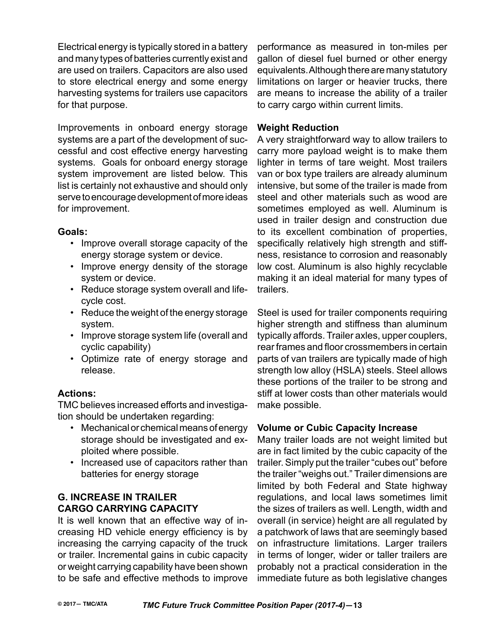Electrical energy is typically stored in a battery and many types of batteries currently exist and are used on trailers. Capacitors are also used to store electrical energy and some energy harvesting systems for trailers use capacitors for that purpose.

Improvements in onboard energy storage systems are a part of the development of successful and cost effective energy harvesting systems. Goals for onboard energy storage system improvement are listed below. This list is certainly not exhaustive and should only serve to encourage development of more ideas for improvement.

#### **Goals:**

- Improve overall storage capacity of the energy storage system or device.
- Improve energy density of the storage system or device.
- Reduce storage system overall and lifecycle cost.
- Reduce the weight of the energy storage system.
- Improve storage system life (overall and cyclic capability)
- Optimize rate of energy storage and release.

# **Actions:**

TMC believes increased efforts and investigation should be undertaken regarding:

- Mechanical or chemical means of energy storage should be investigated and exploited where possible.
- Increased use of capacitors rather than batteries for energy storage

# **G. Increase in Trailer Cargo Carrying Capacity**

It is well known that an effective way of increasing HD vehicle energy efficiency is by increasing the carrying capacity of the truck or trailer. Incremental gains in cubic capacity or weight carrying capability have been shown to be safe and effective methods to improve

performance as measured in ton-miles per gallon of diesel fuel burned or other energy equivalents. Although there are many statutory limitations on larger or heavier trucks, there are means to increase the ability of a trailer to carry cargo within current limits.

#### **Weight Reduction**

A very straightforward way to allow trailers to carry more payload weight is to make them lighter in terms of tare weight. Most trailers van or box type trailers are already aluminum intensive, but some of the trailer is made from steel and other materials such as wood are sometimes employed as well. Aluminum is used in trailer design and construction due to its excellent combination of properties, specifically relatively high strength and stiffness, resistance to corrosion and reasonably low cost. Aluminum is also highly recyclable making it an ideal material for many types of trailers.

Steel is used for trailer components requiring higher strength and stiffness than aluminum typically affords. Trailer axles, upper couplers, rear frames and floor crossmembers in certain parts of van trailers are typically made of high strength low alloy (HSLA) steels. Steel allows these portions of the trailer to be strong and stiff at lower costs than other materials would make possible.

# **Volume or Cubic Capacity Increase**

Many trailer loads are not weight limited but are in fact limited by the cubic capacity of the trailer. Simply put the trailer "cubes out" before the trailer "weighs out." Trailer dimensions are limited by both Federal and State highway regulations, and local laws sometimes limit the sizes of trailers as well. Length, width and overall (in service) height are all regulated by a patchwork of laws that are seemingly based on infrastructure limitations. Larger trailers in terms of longer, wider or taller trailers are probably not a practical consideration in the immediate future as both legislative changes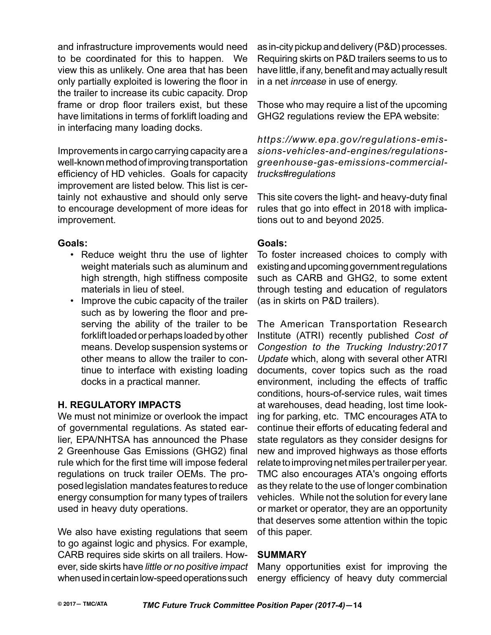and infrastructure improvements would need to be coordinated for this to happen. We view this as unlikely. One area that has been only partially exploited is lowering the floor in the trailer to increase its cubic capacity. Drop frame or drop floor trailers exist, but these have limitations in terms of forklift loading and in interfacing many loading docks.

Improvements in cargo carrying capacity are a well-known method of improving transportation efficiency of HD vehicles. Goals for capacity improvement are listed below. This list is certainly not exhaustive and should only serve to encourage development of more ideas for improvement.

#### **Goals:**

- Reduce weight thru the use of lighter weight materials such as aluminum and high strength, high stiffness composite materials in lieu of steel.
- Improve the cubic capacity of the trailer such as by lowering the floor and preserving the ability of the trailer to be forklift loaded or perhaps loaded by other means. Develop suspension systems or other means to allow the trailer to continue to interface with existing loading docks in a practical manner.

# **H. Regulatory Impacts**

We must not minimize or overlook the impact of governmental regulations. As stated earlier, EPA/NHTSA has announced the Phase 2 Greenhouse Gas Emissions (GHG2) final rule which for the first time will impose federal regulations on truck trailer OEMs. The proposed legislation mandates features to reduce energy consumption for many types of trailers used in heavy duty operations.

We also have existing regulations that seem to go against logic and physics. For example, CARB requires side skirts on all trailers. However, side skirts have *little or no positive impact* when used in certain low-speed operations such

as in-city pickup and delivery (P&D) processes. Requiring skirts on P&D trailers seems to us to have little, if any, benefit and may actually result in a net *inrcease* in use of energy.

Those who may require a list of the upcoming GHG2 regulations review the EPA website:

*https://www.epa.gov/regulations-emissions-vehicles-and-engines/regulationsgreenhouse-gas-emissions-commercialtrucks#regulations*

This site covers the light- and heavy-duty final rules that go into effect in 2018 with implications out to and beyond 2025.

# **Goals:**

To foster increased choices to comply with existing and upcoming government regulations such as CARB and GHG2, to some extent through testing and education of regulators (as in skirts on P&D trailers).

The American Transportation Research Institute (ATRI) recently published *Cost of Congestion to the Trucking Industry:2017 Update* which, along with several other ATRI documents, cover topics such as the road environment, including the effects of traffic conditions, hours-of-service rules, wait times at warehouses, dead heading, lost time looking for parking, etc. TMC encourages ATA to continue their efforts of educating federal and state regulators as they consider designs for new and improved highways as those efforts relate to improving net miles per trailer per year. TMC also encourages ATA's ongoing efforts as they relate to the use of longer combination vehicles. While not the solution for every lane or market or operator, they are an opportunity that deserves some attention within the topic of this paper.

# **SUMMARY**

Many opportunities exist for improving the energy efficiency of heavy duty commercial